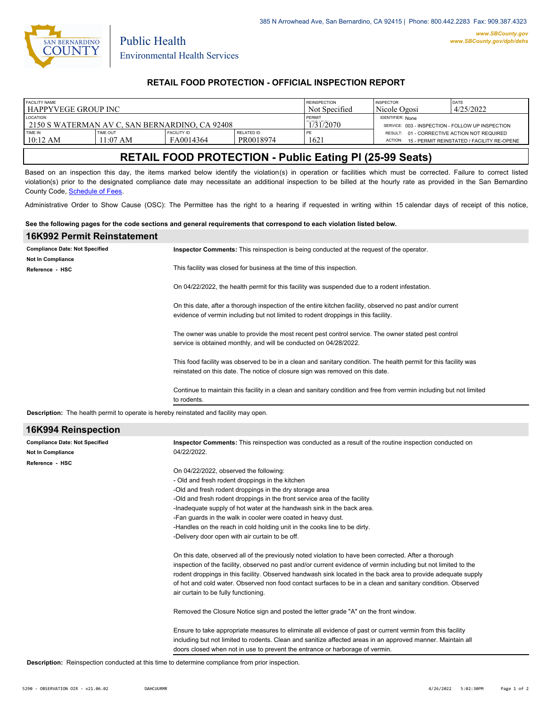

Public Health

## **RETAIL FOOD PROTECTION - OFFICIAL INSPECTION REPORT**

| <b>FACILITY NAME</b>                             |                   |                    |                   | <b>REINSPECTION</b> | <b>INSPECTOR</b>                                 | DATE                                       |
|--------------------------------------------------|-------------------|--------------------|-------------------|---------------------|--------------------------------------------------|--------------------------------------------|
| l HAPPYVEGE GROUP INC                            |                   |                    |                   | Not Specified       | Nicole Ogosi                                     | 4/25/2022                                  |
| <b>LOCATION</b>                                  |                   |                    |                   | PERMIT              | <b>IDENTIFIER: None</b>                          |                                            |
| l 2150 S WATERMAN AV C. SAN BERNARDINO. CA 92408 |                   |                    |                   | 1/31/2070           | SERVICE: 003 - INSPECTION - FOLLOW UP INSPECTION |                                            |
| TIME IN                                          | TIME OUT          | <b>FACILITY ID</b> | <b>RELATED ID</b> | PE                  | RESULT: 01 - CORRECTIVE ACTION NOT REQUIRED      | 15 - PERMIT REINSTATED / FACILITY RE-OPENE |
| 10:12 AM                                         | $1:07 \text{ AM}$ | FA0014364          | PR0018974         | 1621                | ACTION:                                          |                                            |

# **RETAIL FOOD PROTECTION - Public Eating Pl (25-99 Seats)**

Based on an inspection this day, the items marked below identify the violation(s) in operation or facilities which must be corrected. Failure to correct listed violation(s) prior to the designated compliance date may necessitate an additional inspection to be billed at the hourly rate as provided in the San Bernardino County Code, Schedule of Fees.

Administrative Order to Show Cause (OSC): The Permittee has the right to a hearing if requested in writing within 15 calendar days of receipt of this notice,

#### **See the following pages for the code sections and general requirements that correspond to each violation listed below.**

| 16K992 Permit Reinstatement           |                                                                                                                                                                                                   |
|---------------------------------------|---------------------------------------------------------------------------------------------------------------------------------------------------------------------------------------------------|
| <b>Compliance Date: Not Specified</b> | <b>Inspector Comments:</b> This reinspection is being conducted at the request of the operator.                                                                                                   |
| <b>Not In Compliance</b>              |                                                                                                                                                                                                   |
| Reference - HSC                       | This facility was closed for business at the time of this inspection.                                                                                                                             |
|                                       | On 04/22/2022, the health permit for this facility was suspended due to a rodent infestation.                                                                                                     |
|                                       | On this date, after a thorough inspection of the entire kitchen facility, observed no past and/or current<br>evidence of vermin including but not limited to rodent droppings in this facility.   |
|                                       | The owner was unable to provide the most recent pest control service. The owner stated pest control<br>service is obtained monthly, and will be conducted on 04/28/2022.                          |
|                                       | This food facility was observed to be in a clean and sanitary condition. The health permit for this facility was<br>reinstated on this date. The notice of closure sign was removed on this date. |
|                                       | Continue to maintain this facility in a clean and sanitary condition and free from vermin including but not limited<br>to rodents.                                                                |
|                                       |                                                                                                                                                                                                   |

**Description:** The health permit to operate is hereby reinstated and facility may open.

| 16K994 Reinspection                   |                                                                                                                 |  |  |  |  |
|---------------------------------------|-----------------------------------------------------------------------------------------------------------------|--|--|--|--|
| <b>Compliance Date: Not Specified</b> | Inspector Comments: This reinspection was conducted as a result of the routine inspection conducted on          |  |  |  |  |
| <b>Not In Compliance</b>              | 04/22/2022.                                                                                                     |  |  |  |  |
| Reference - HSC                       |                                                                                                                 |  |  |  |  |
|                                       | On 04/22/2022, observed the following:                                                                          |  |  |  |  |
|                                       | - Old and fresh rodent droppings in the kitchen                                                                 |  |  |  |  |
|                                       | -Old and fresh rodent droppings in the dry storage area                                                         |  |  |  |  |
|                                       | -Old and fresh rodent droppings in the front service area of the facility                                       |  |  |  |  |
|                                       | -Inadequate supply of hot water at the handwash sink in the back area.                                          |  |  |  |  |
|                                       | -Fan quards in the walk in cooler were coated in heavy dust.                                                    |  |  |  |  |
|                                       | -Handles on the reach in cold holding unit in the cooks line to be dirty.                                       |  |  |  |  |
|                                       | -Delivery door open with air curtain to be off.                                                                 |  |  |  |  |
|                                       | On this date, observed all of the previously noted violation to have been corrected. After a thorough           |  |  |  |  |
|                                       | inspection of the facility, observed no past and/or current evidence of vermin including but not limited to the |  |  |  |  |
|                                       | rodent droppings in this facility. Observed handwash sink located in the back area to provide adequate supply   |  |  |  |  |
|                                       | of hot and cold water. Observed non food contact surfaces to be in a clean and sanitary condition. Observed     |  |  |  |  |
|                                       | air curtain to be fully functioning.                                                                            |  |  |  |  |
|                                       | Removed the Closure Notice sign and posted the letter grade "A" on the front window.                            |  |  |  |  |
|                                       | Ensure to take appropriate measures to eliminate all evidence of past or current vermin from this facility      |  |  |  |  |
|                                       | including but not limited to rodents. Clean and sanitize affected areas in an approved manner. Maintain all     |  |  |  |  |
|                                       | doors closed when not in use to prevent the entrance or harborage of vermin.                                    |  |  |  |  |

**Description:** Reinspection conducted at this time to determine compliance from prior inspection.